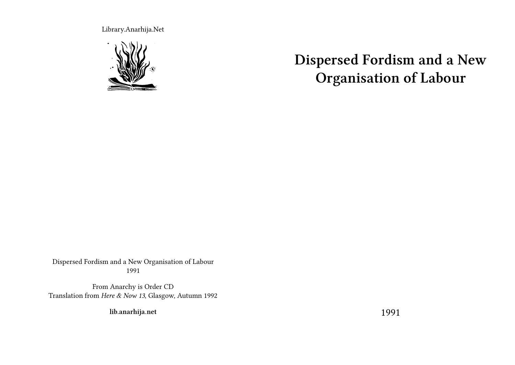Library.Anarhija.Net



# **Dispersed Fordism and a New Organisation of Labour**

Dispersed Fordism and a New Organisation of Labour 1991

From Anarchy is Order CD Translation from *Here & Now 13*, Glasgow, Autumn 1992

**lib.anarhija.net**

1991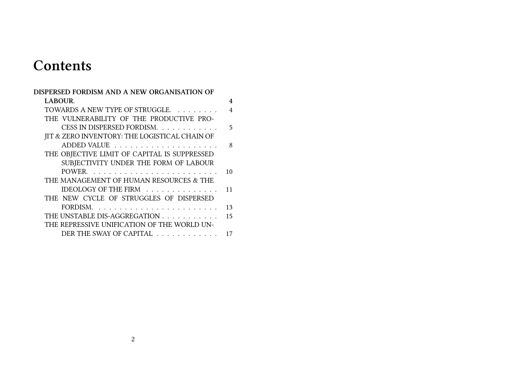## **Contents**

| DISPERSED FORDISM AND A NEW ORGANISATION OF   |                |
|-----------------------------------------------|----------------|
| LABOUR.                                       | 4              |
| TOWARDS A NEW TYPE OF STRUGGLE.               | $\overline{4}$ |
| THE VULNERABILITY OF THE PRODUCTIVE PRO-      |                |
| CESS IN DISPERSED FORDISM.                    | 5              |
| JIT & ZERO INVENTORY: THE LOGISTICAL CHAIN OF |                |
|                                               | 8              |
| THE OBJECTIVE LIMIT OF CAPITAL IS SUPPRESSED  |                |
| SUBJECTIVITY UNDER THE FORM OF LABOUR         |                |
|                                               | 10             |
| THE MANAGEMENT OF HUMAN RESOURCES & THE       |                |
| IDEOLOGY OF THE FIRM                          | 11             |
| THE NEW CYCLE OF STRUGGLES OF DISPERSED       |                |
|                                               | 13             |
| THE UNSTABLE DIS-AGGREGATION                  | 15             |
| THE REPRESSIVE UNIFICATION OF THE WORLD UN-   |                |
| DER THE SWAY OF CAPITAL                       | 17             |
|                                               |                |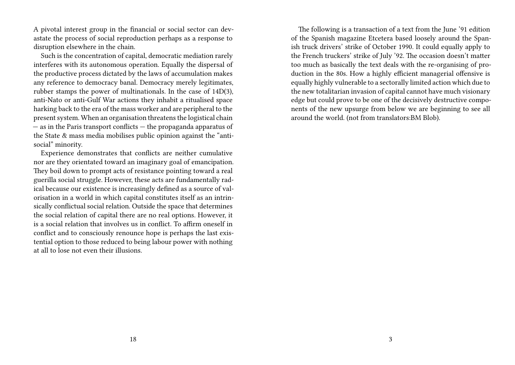A pivotal interest group in the financial or social sector can devastate the process of social reproduction perhaps as a response to disruption elsewhere in the chain.

Such is the concentration of capital, democratic mediation rarely interferes with its autonomous operation. Equally the dispersal of the productive process dictated by the laws of accumulation makes any reference to democracy banal. Democracy merely legitimates, rubber stamps the power of multinationals. In the case of 14D(3), anti-Nato or anti-Gulf War actions they inhabit a ritualised space harking back to the era of the mass worker and are peripheral to the present system. When an organisation threatens the logistical chain  $-\infty$  in the Paris transport conflicts  $-\infty$  the propaganda apparatus of the State & mass media mobilises public opinion against the "antisocial" minority.

Experience demonstrates that conflicts are neither cumulative nor are they orientated toward an imaginary goal of emancipation. They boil down to prompt acts of resistance pointing toward a real guerilla social struggle. However, these acts are fundamentally radical because our existence is increasingly defined as a source of valorisation in a world in which capital constitutes itself as an intrinsically conflictual social relation. Outside the space that determines the social relation of capital there are no real options. However, it is a social relation that involves us in conflict. To affirm oneself in conflict and to consciously renounce hope is perhaps the last existential option to those reduced to being labour power with nothing at all to lose not even their illusions.

The following is a transaction of a text from the June '91 edition of the Spanish magazine Etcetera based loosely around the Spanish truck drivers' strike of October 1990. It could equally apply to the French truckers' strike of July '92. The occasion doesn't matter too much as basically the text deals with the re-organising of production in the 80s. How a highly efficient managerial offensive is equally highly vulnerable to a sectorally limited action which due to the new totalitarian invasion of capital cannot have much visionary edge but could prove to be one of the decisively destructive components of the new upsurge from below we are beginning to see all around the world. (not from translators:BM Blob).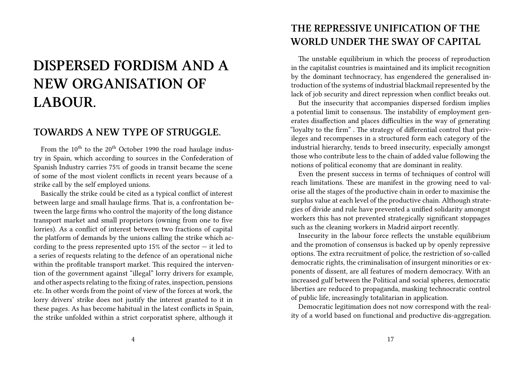# **DISPERSED FORDISM AND A NEW ORGANISATION OF LABOUR.**

#### **TOWARDS A NEW TYPE OF STRUGGLE.**

From the  $10^{th}$  to the  $20^{th}$  October 1990 the road haulage industry in Spain, which according to sources in the Confederation of Spanish Industry carries 75% of goods in transit became the scene of some of the most violent conflicts in recent years because of a strike call by the self employed unions.

Basically the strike could be cited as a typical conflict of interest between large and small haulage firms. That is, a confrontation between the large firms who control the majority of the long distance transport market and small proprietors (owning from one to five lorries). As a conflict of interest between two fractions of capital the platform of demands by the unions calling the strike which according to the press represented upto  $15\%$  of the sector  $-$  it led to a series of requests relating to the defence of an operational niche within the profitable transport market. This required the intervention of the government against "illegal" lorry drivers for example, and other aspects relating to the fixing of rates, inspection, pensions etc. In other words from the point of view of the forces at work, the lorry drivers' strike does not justify the interest granted to it in these pages. As has become habitual in the latest conflicts in Spain, the strike unfolded within a strict corporatist sphere, although it

### **THE REPRESSIVE UNIFICATION OF THE WORLD UNDER THE SWAY OF CAPITAL**

The unstable equilibrium in which the process of reproduction in the capitalist countries is maintained and its implicit recognition by the dominant technocracy, has engendered the generalised introduction of the systems of industrial blackmail represented by the lack of job security and direct repression when conflict breaks out.

But the insecurity that accompanies dispersed fordism implies a potential limit to consensus. The instability of employment generates disaffection and places difficulties in the way of generating "loyalty to the firm" . The strategy of differential control that privileges and recompenses in a structured form each category of the industrial hierarchy, tends to breed insecurity, especially amongst those who contribute less to the chain of added value following the notions of political economy that are dominant in reality.

Even the present success in terms of techniques of control will reach limitations. These are manifest in the growing need to valorise all the stages of the productive chain in order to maximise the surplus value at each level of the productive chain. Although strategies of divide and rule have prevented a unified solidarity amongst workers this has not prevented strategically significant stoppages such as the cleaning workers in Madrid airport recently.

Insecurity in the labour force reflects the unstable equilibrium and the promotion of consensus is backed up by openly repressive options. The extra recruitment of police, the restriction of so-called democratic rights, the criminalisation of insurgent minorities or exponents of dissent, are all features of modern democracy. With an increased gulf between the Political and social spheres, democratic liberties are reduced to propaganda, masking technocratic control of public life, increasingly totalitarian in application.

Democratic legitimation does not now correspond with the reality of a world based on functional and productive dis-aggregation.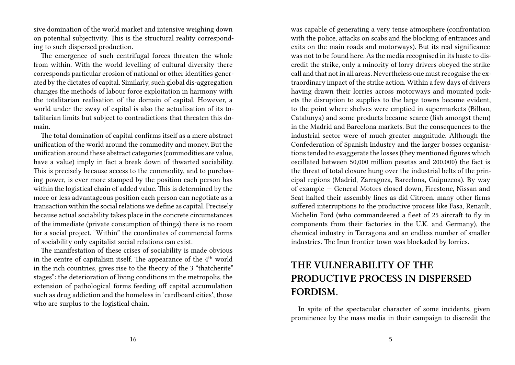sive domination of the world market and intensive weighing down on potential subjectivity. This is the structural reality corresponding to such dispersed production.

The emergence of such centrifugal forces threaten the whole from within. With the world levelling of cultural diversity there corresponds particular erosion of national or other identities generated by the dictates of capital. Similarly, such global dis-aggregation changes the methods of labour force exploitation in harmony with the totalitarian realisation of the domain of capital. However, a world under the sway of capital is also the actualisation of its totalitarian limits but subject to contradictions that threaten this domain.

The total domination of capital confirms itself as a mere abstract unification of the world around the commodity and money. But the unification around these abstract categories (commodities are value, have a value) imply in fact a break down of thwarted sociability. This is precisely because access to the commodity, and to purchasing power, is ever more stamped by the position each person has within the logistical chain of added value. This is determined by the more or less advantageous position each person can negotiate as a transaction within the social relations we define as capital. Precisely because actual sociability takes place in the concrete circumstances of the immediate (private consumption of things) there is no room for a social project. "Within" the coordinates of commercial forms of sociability only capitalist social relations can exist.

The manifestation of these crises of sociability is made obvious in the centre of capitalism itself. The appearance of the  $4<sup>th</sup>$  world in the rich countries, gives rise to the theory of the 3 "thatcherite" stages": the deterioration of living conditions in the metropolis, the extension of pathological forms feeding off capital accumulation such as drug addiction and the homeless in 'cardboard cities', those who are surplus to the logistical chain.

was capable of generating a very tense atmosphere (confrontation with the police, attacks on scabs and the blocking of entrances and exits on the main roads and motorways). But its real significance was not to be found here. As the media recognised in its haste to discredit the strike, only a minority of lorry drivers obeyed the strike call and that not in all areas. Nevertheless one must recognise the extraordinary impact of the strike action. Within a few days of drivers having drawn their lorries across motorways and mounted pickets the disruption to supplies to the large towns became evident, to the point where shelves were emptied in supermarkets (Bilbao, Catalunya) and some products became scarce (fish amongst them) in the Madrid and Barcelona markets. But the consequences to the industrial sector were of much greater magnitude. Although the Confederation of Spanish Industry and the larger bosses organisations tended to exaggerate the losses (they mentioned figures which oscillated between 50,000 million pesetas and 200.000) the fact is the threat of total closure hung over the industrial belts of the principal regions (Madrid, Zarragoza, Barcelona, Guipuzcoa). By way of example — General Motors closed down, Firestone, Nissan and Seat halted their assembly lines as did Citroen. many other firms suffered interruptions to the productive process like Fasa, Renault, Michelin Ford (who commandeered a fleet of 25 aircraft to fly in components from their factories in the U.K. and Germany), the chemical industry in Tarragona and an endless number of smaller industries. The Irun frontier town was blockaded by lorries.

## **THE VULNERABILITY OF THE PRODUCTIVE PROCESS IN DISPERSED FORDISM.**

In spite of the spectacular character of some incidents, given prominence by the mass media in their campaign to discredit the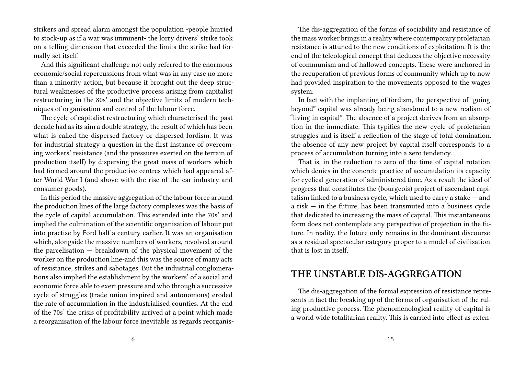strikers and spread alarm amongst the population -people hurried to stock-up as if a war was imminent- the lorry drivers' strike took on a telling dimension that exceeded the limits the strike had formally set itself.

And this significant challenge not only referred to the enormous economic/social repercussions from what was in any case no more than a minority action, but because it brought out the deep structural weaknesses of the productive process arising from capitalist restructuring in the 80s' and the objective limits of modern techniques of organisation and control of the labour force.

The cycle of capitalist restructuring which characterised the past decade had as its aim a double strategy, the result of which has been what is called the dispersed factory or dispersed fordism. It was for industrial strategy a question in the first instance of overcoming workers' resistance (and the pressures exerted on the terrain of production itself) by dispersing the great mass of workers which had formed around the productive centres which had appeared after World War I (and above with the rise of the car industry and consumer goods).

In this period the massive aggregation of the labour force around the production lines of the large factory complexes was the basis of the cycle of capital accumulation. This extended into the 70s' and implied the culmination of the scientific organisation of labour put into practise by Ford half a century earlier. It was an organisation which, alongside the massive numbers of workers, revolved around the parcelisation — breakdown of the physical movement of the worker on the production line-and this was the source of many acts of resistance, strikes and sabotages. But the industrial conglomerations also implied the establishment by the workers' of a social and economic force able to exert pressure and who through a successive cycle of struggles (trade union inspired and autonomous) eroded the rate of accumulation in the industrialised counties. At the end of the 70s' the crisis of profitability arrived at a point which made a reorganisation of the labour force inevitable as regards reorganis-

The dis-aggregation of the forms of sociability and resistance of the mass worker brings in a reality where contemporary proletarian resistance is attuned to the new conditions of exploitation. It is the end of the teleological concept that deduces the objective necessity of communism and of hallowed concepts. These were anchored in the recuperation of previous forms of community which up to now had provided inspiration to the movements opposed to the wages system.

In fact with the implanting of fordism, the perspective of "going beyond" capital was already being abandoned to a new realism of "living in capital". The absence of a project derives from an absorption in the immediate. This typifies the new cycle of proletarian struggles and is itself a reflection of the stage of total domination. the absence of any new project by capital itself corresponds to a process of accumulation turning into a zero tendency.

That is, in the reduction to zero of the time of capital rotation which denies in the concrete practice of accumulation its capacity for cyclical generation of administered time. As a result the ideal of progress that constitutes the (bourgeois) project of ascendant capitalism linked to a business cycle, which used to carry a stake — and a risk — in the future, has been transmuted into a business cycle that dedicated to increasing the mass of capital. This instantaneous form does not contemplate any perspective of projection in the future. In reality, the future only remains in the dominant discourse as a residual spectacular category proper to a model of civilisation that is lost in itself.

#### **THE UNSTABLE DIS-AGGREGATION**

The dis-aggregation of the formal expression of resistance represents in fact the breaking up of the forms of organisation of the ruling productive process. The phenomenological reality of capital is a world wide totalitarian reality. This is carried into effect as exten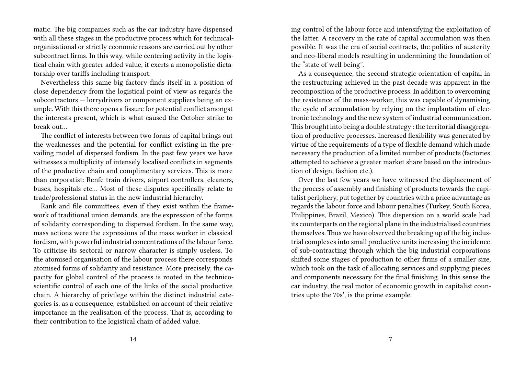matic. The big companies such as the car industry have dispensed with all these stages in the productive process which for technicalorganisational or strictly economic reasons are carried out by other subcontract firms. In this way, while centering activity in the logistical chain with greater added value, it exerts a monopolistic dictatorship over tariffs including transport.

Nevertheless this same big factory finds itself in a position of close dependency from the logistical point of view as regards the subcontractors — lorrydrivers or component suppliers being an example. With this there opens a fissure for potential conflict amongst the interests present, which is what caused the October strike to break out…

The conflict of interests between two forms of capital brings out the weaknesses and the potential for conflict existing in the prevailing model of dispersed fordism. In the past few years we have witnesses a multiplicity of intensely localised conflicts in segments of the productive chain and complimentary services. This is more than corporatist: Renfe train drivers, airport controllers, cleaners, buses, hospitals etc… Most of these disputes specifically relate to trade/professional status in the new industrial hierarchy.

Rank and file committees, even if they exist within the framework of traditional union demands, are the expression of the forms of solidarity corresponding to dispersed fordism. In the same way, mass actions were the expressions of the mass worker in classical fordism, with powerful industrial concentrations of the labour force. To criticise its sectoral or narrow character is simply useless. To the atomised organisation of the labour process there corresponds atomised forms of solidarity and resistance. More precisely, the capacity for global control of the process is rooted in the technicoscientific control of each one of the links of the social productive chain. A hierarchy of privilege within the distinct industrial categories is, as a consequence, established on account of their relative importance in the realisation of the process. That is, according to their contribution to the logistical chain of added value.

ing control of the labour force and intensifying the exploitation of the latter. A recovery in the rate of capital accumulation was then possible. It was the era of social contracts, the politics of austerity and neo-liberal models resulting in undermining the foundation of the "state of well being".

As a consequence, the second strategic orientation of capital in the restructuring achieved in the past decade was apparent in the recomposition of the productive process. In addition to overcoming the resistance of the mass-worker, this was capable of dynamising the cycle of accumulation by relying on the implantation of electronic technology and the new system of industrial communication. This brought into being a double strategy : the territorial disaggregation of productive processes. Increased flexibility was generated by virtue of the requirements of a type of flexible demand which made necessary the production of a limited number of products (factories attempted to achieve a greater market share based on the introduction of design, fashion etc.).

Over the last few years we have witnessed the displacement of the process of assembly and finishing of products towards the capitalist periphery, put together by countries with a price advantage as regards the labour force and labour penalties (Turkey, South Korea, Philippines, Brazil, Mexico). This dispersion on a world scale had its counterparts on the regional plane in the industrialised countries themselves.Thus we have observed the breaking up of the big industrial complexes into small productive units increasing the incidence of sub-contracting through which the big industrial corporations shifted some stages of production to other firms of a smaller size, which took on the task of allocating services and supplying pieces and components necessary for the final finishing. In this sense the car industry, the real motor of economic growth in capitalist countries upto the 70s', is the prime example.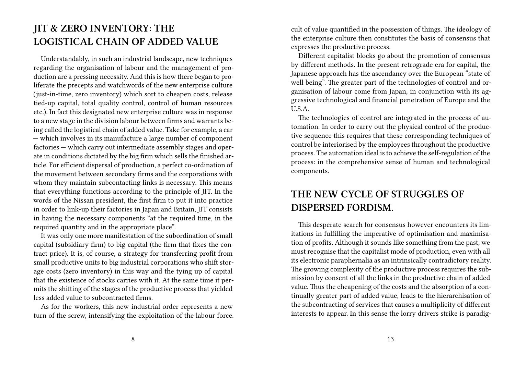## **JIT & ZERO INVENTORY: THE LOGISTICAL CHAIN OF ADDED VALUE**

Understandably, in such an industrial landscape, new techniques regarding the organisation of labour and the management of production are a pressing necessity. And this is how there began to proliferate the precepts and watchwords of the new enterprise culture (just-in-time, zero inventory) which sort to cheapen costs, release tied-up capital, total quality control, control of human resources etc.). In fact this designated new enterprise culture was in response to a new stage in the division labour between firms and warrants being called the logistical chain of added value. Take for example, a car — which involves in its manufacture a large number of component factories — which carry out intermediate assembly stages and operate in conditions dictated by the big firm which sells the finished article. For efficient dispersal of production, a perfect co-ordination of the movement between secondary firms and the corporations with whom they maintain subcontacting links is necessary. This means that everything functions according to the principle of JIT. In the words of the Nissan president, the first firm to put it into practice in order to link-up their factories in Japan and Britain, JIT consists in having the necessary components "at the required time, in the required quantity and in the appropriate place".

It was only one more manifestation of the subordination of small capital (subsidiary firm) to big capital (the firm that fixes the contract price). It is, of course, a strategy for transferring profit from small productive units to big industrial corporations who shift storage costs (zero inventory) in this way and the tying up of capital that the existence of stocks carries with it. At the same time it permits the shifting of the stages of the productive process that yielded less added value to subcontracted firms.

As for the workers, this new industrial order represents a new turn of the screw, intensifying the exploitation of the labour force. cult of value quantified in the possession of things. The ideology of the enterprise culture then constitutes the basis of consensus that expresses the productive process.

Different capitalist blocks go about the promotion of consensus by different methods. In the present retrograde era for capital, the Japanese approach has the ascendancy over the European "state of well being". The greater part of the technologies of control and organisation of labour come from Japan, in conjunction with its aggressive technological and financial penetration of Europe and the U.S.A.

The technologies of control are integrated in the process of automation. In order to carry out the physical control of the productive sequence this requires that these corresponding techniques of control be interiorised by the employees throughout the productive process. The automation ideal is to achieve the self-regulation of the process: in the comprehensive sense of human and technological components.

## **THE NEW CYCLE OF STRUGGLES OF DISPERSED FORDISM.**

This desperate search for consensus however encounters its limitations in fulfilling the imperative of optimisation and maximisation of profits. Although it sounds like something from the past, we must recognise that the capitalist mode of production, even with all its electronic paraphernalia as an intrinsically contradictory reality. The growing complexity of the productive process requires the submission by consent of all the links in the productive chain of added value. Thus the cheapening of the costs and the absorption of a continually greater part of added value, leads to the hierarchisation of the subcontracting of services that causes a multiplicity of different interests to appear. In this sense the lorry drivers strike is paradig-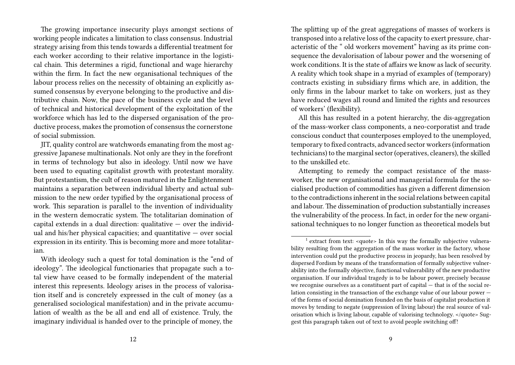The growing importance insecurity plays amongst sections of working people indicates a limitation to class consensus. Industrial strategy arising from this tends towards a differential treatment for each worker according to their relative importance in the logistical chain. This determines a rigid, functional and wage hierarchy within the firm. In fact the new organisational techniques of the labour process relies on the necessity of obtaining an explicitly assumed consensus by everyone belonging to the productive and distributive chain. Now, the pace of the business cycle and the level of technical and historical development of the exploitation of the workforce which has led to the dispersed organisation of the productive process, makes the promotion of consensus the cornerstone of social submission.

JIT, quality control are watchwords emanating from the most aggressive Japanese multinationals. Not only are they in the forefront in terms of technology but also in ideology. Until now we have been used to equating capitalist growth with protestant morality. But protestantism, the cult of reason matured in the Enlightenment maintains a separation between individual liberty and actual submission to the new order typified by the organisational process of work. This separation is parallel to the invention of individuality in the western democratic system. The totalitarian domination of capital extends in a dual direction: qualitative  $-$  over the individual and his/her physical capacities; and quantitative — over social expression in its entirity. This is becoming more and more totalitarian.

With ideology such a quest for total domination is the "end of ideology". The ideological functionaries that propagate such a total view have ceased to be formally independent of the material interest this represents. Ideology arises in the process of valorisation itself and is concretely expressed in the cult of money (as a generalised sociological manifestation) and in the private accumulation of wealth as the be all and end all of existence. Truly, the imaginary individual is handed over to the principle of money, the

The splitting up of the great aggregations of masses of workers is transposed into a relative loss of the capacity to exert pressure, characteristic of the " old workers movement" having as its prime consequence the devalorisation of labour power and the worsening of work conditions. It is the state of affairs we know as lack of security. A reality which took shape in a myriad of examples of (temporary) contracts existing in subsidiary firms which are, in addition, the only firms in the labour market to take on workers, just as they have reduced wages all round and limited the rights and resources of workers' (flexibility).

All this has resulted in a potent hierarchy, the dis-aggregation of the mass-worker class components, a neo-corporatist and trade conscious conduct that counterposes employed to the unemployed, temporary to fixed contracts, advanced sector workers (information technicians) to the marginal sector (operatives, cleaners), the skilled to the unskilled etc.

Attempting to remedy the compact resistance of the massworker, the new organisational and managerial formula for the socialised production of commodities has given a different dimension to the contradictions inherent in the social relations between capital and labour. The dissemination of production substantially increases the vulnerability of the process. In fact, in order for the new organisational techniques to no longer function as theoretical models but

<sup>&</sup>lt;sup>1</sup> extract from text: <quote> In this way the formally subjective vulnerability resulting from the aggregation of the mass worker in the factory, whose intervention could put the productive process in jeopardy, has been resolved by dispersed Fordism by means of the transformation of formally subjective vulnerability into the formally objective, functional vulnerability of the new productive organisation. If our individual tragedy is to be labour power, precisely because we recognise ourselves as a constituent part of capital — that is of the social relation consisting in the transaction of the exchange value of our labour power of the forms of social domination founded on the basis of capitalist production it moves by tending to negate (suppression of living labour) the real source of valorisation which is living labour, capable of valorising technology. </quote> Suggest this paragraph taken out of text to avoid people switching off!